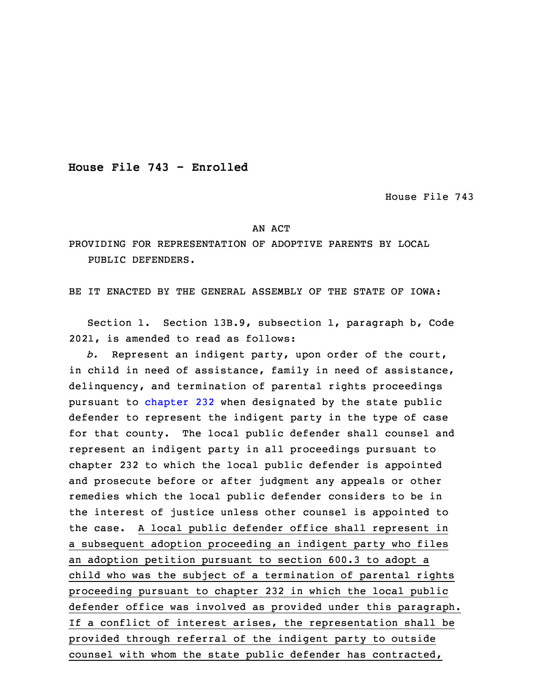**House File 743 - Enrolled**

House File 743

## AN ACT

PROVIDING FOR REPRESENTATION OF ADOPTIVE PARENTS BY LOCAL PUBLIC DEFENDERS.

BE IT ENACTED BY THE GENERAL ASSEMBLY OF THE STATE OF IOWA:

 Section 1. Section 13B.9, subsection 1, paragraph b, Code 2021, is amended to read as follows:

b. Represent an indigent party, upon order of the court, in child in need of assistance, family in need of assistance, delinquency, and termination of parental rights proceedings pursuant to [chapter](https://www.legis.iowa.gov/docs/code/2021/232.pdf) 232 when designated by the state public defender to represent the indigent party in the type of case for that county. The local public defender shall counsel and represent an indigent party in all proceedings pursuant to chapter 232 to which the local public defender is appointed and prosecute before or after judgment any appeals or other remedies which the local public defender considers to be in the interest of justice unless other counsel is appointed to the case. <sup>A</sup> local public defender office shall represent in a subsequent adoption proceeding an indigent party who files an adoption petition pursuant to section 600.3 to adopt a child who was the subject of a termination of parental rights proceeding pursuant to chapter 232 in which the local public defender office was involved as provided under this paragraph. If a conflict of interest arises, the representation shall be provided through referral of the indigent party to outside counsel with whom the state public defender has contracted,